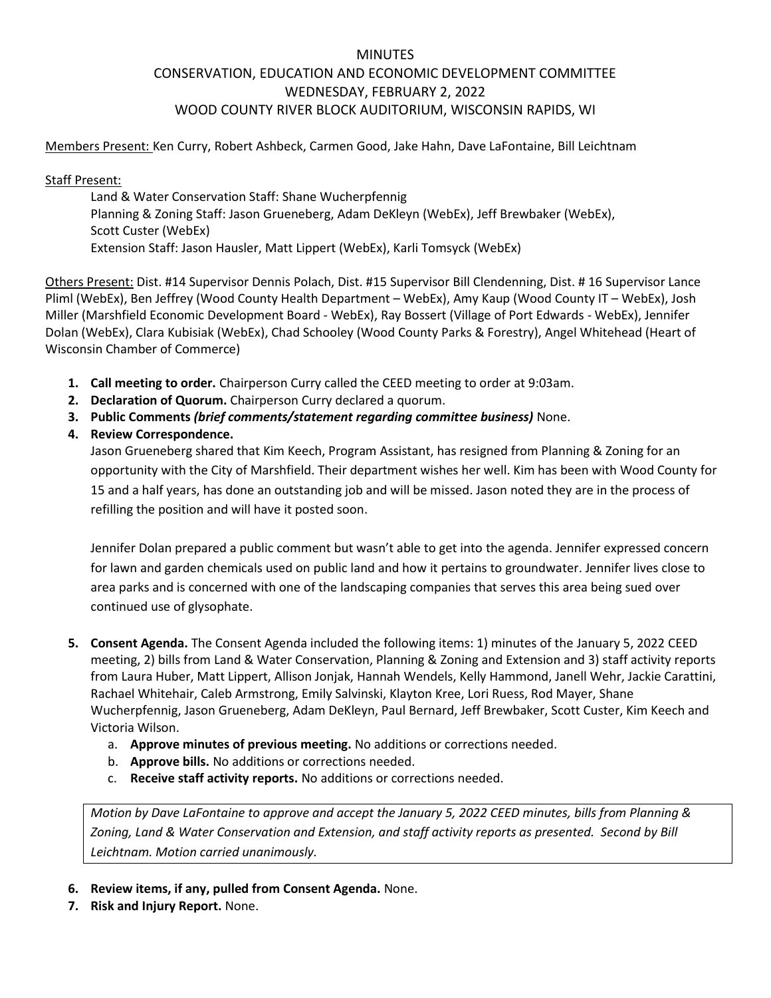# MINUTES CONSERVATION, EDUCATION AND ECONOMIC DEVELOPMENT COMMITTEE WEDNESDAY, FEBRUARY 2, 2022 WOOD COUNTY RIVER BLOCK AUDITORIUM, WISCONSIN RAPIDS, WI

Members Present: Ken Curry, Robert Ashbeck, Carmen Good, Jake Hahn, Dave LaFontaine, Bill Leichtnam

Staff Present:

Land & Water Conservation Staff: Shane Wucherpfennig Planning & Zoning Staff: Jason Grueneberg, Adam DeKleyn (WebEx), Jeff Brewbaker (WebEx), Scott Custer (WebEx) Extension Staff: Jason Hausler, Matt Lippert (WebEx), Karli Tomsyck (WebEx)

Others Present: Dist. #14 Supervisor Dennis Polach, Dist. #15 Supervisor Bill Clendenning, Dist. # 16 Supervisor Lance Pliml (WebEx), Ben Jeffrey (Wood County Health Department – WebEx), Amy Kaup (Wood County IT – WebEx), Josh Miller (Marshfield Economic Development Board - WebEx), Ray Bossert (Village of Port Edwards - WebEx), Jennifer Dolan (WebEx), Clara Kubisiak (WebEx), Chad Schooley (Wood County Parks & Forestry), Angel Whitehead (Heart of Wisconsin Chamber of Commerce)

- **1. Call meeting to order.** Chairperson Curry called the CEED meeting to order at 9:03am.
- **2. Declaration of Quorum.** Chairperson Curry declared a quorum.
- **3. Public Comments** *(brief comments/statement regarding committee business)* None.

**4. Review Correspondence.**

Jason Grueneberg shared that Kim Keech, Program Assistant, has resigned from Planning & Zoning for an opportunity with the City of Marshfield. Their department wishes her well. Kim has been with Wood County for 15 and a half years, has done an outstanding job and will be missed. Jason noted they are in the process of refilling the position and will have it posted soon.

Jennifer Dolan prepared a public comment but wasn't able to get into the agenda. Jennifer expressed concern for lawn and garden chemicals used on public land and how it pertains to groundwater. Jennifer lives close to area parks and is concerned with one of the landscaping companies that serves this area being sued over continued use of glysophate.

- **5. Consent Agenda.** The Consent Agenda included the following items: 1) minutes of the January 5, 2022 CEED meeting, 2) bills from Land & Water Conservation, Planning & Zoning and Extension and 3) staff activity reports from Laura Huber, Matt Lippert, Allison Jonjak, Hannah Wendels, Kelly Hammond, Janell Wehr, Jackie Carattini, Rachael Whitehair, Caleb Armstrong, Emily Salvinski, Klayton Kree, Lori Ruess, Rod Mayer, Shane Wucherpfennig, Jason Grueneberg, Adam DeKleyn, Paul Bernard, Jeff Brewbaker, Scott Custer, Kim Keech and Victoria Wilson.
	- a. **Approve minutes of previous meeting.** No additions or corrections needed.
	- b. **Approve bills.** No additions or corrections needed.
	- c. **Receive staff activity reports.** No additions or corrections needed.

*Motion by Dave LaFontaine to approve and accept the January 5, 2022 CEED minutes, bills from Planning & Zoning, Land & Water Conservation and Extension, and staff activity reports as presented. Second by Bill Leichtnam. Motion carried unanimously.*

- **6. Review items, if any, pulled from Consent Agenda.** None.
- **7. Risk and Injury Report.** None.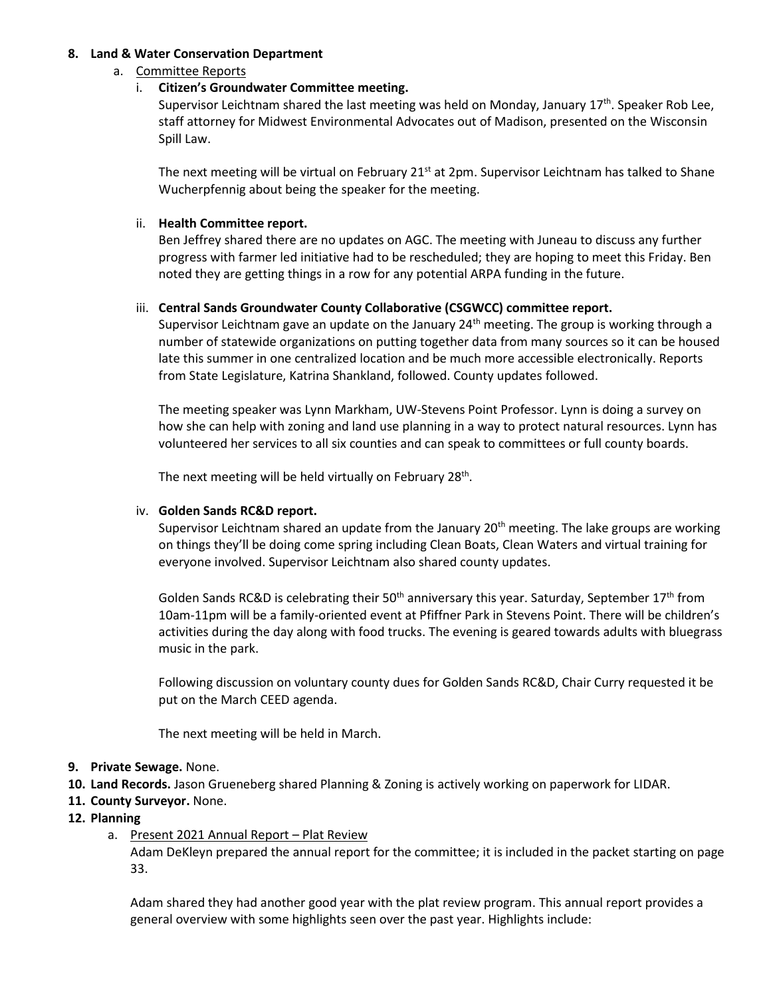## **8. Land & Water Conservation Department**

## a. Committee Reports

## i. **Citizen's Groundwater Committee meeting.**

Supervisor Leichtnam shared the last meeting was held on Monday, January  $17<sup>th</sup>$ . Speaker Rob Lee, staff attorney for Midwest Environmental Advocates out of Madison, presented on the Wisconsin Spill Law.

The next meeting will be virtual on February  $21^{st}$  at 2pm. Supervisor Leichtnam has talked to Shane Wucherpfennig about being the speaker for the meeting.

## ii. **Health Committee report.**

Ben Jeffrey shared there are no updates on AGC. The meeting with Juneau to discuss any further progress with farmer led initiative had to be rescheduled; they are hoping to meet this Friday. Ben noted they are getting things in a row for any potential ARPA funding in the future.

### iii. **Central Sands Groundwater County Collaborative (CSGWCC) committee report.**

Supervisor Leichtnam gave an update on the January  $24<sup>th</sup>$  meeting. The group is working through a number of statewide organizations on putting together data from many sources so it can be housed late this summer in one centralized location and be much more accessible electronically. Reports from State Legislature, Katrina Shankland, followed. County updates followed.

The meeting speaker was Lynn Markham, UW-Stevens Point Professor. Lynn is doing a survey on how she can help with zoning and land use planning in a way to protect natural resources. Lynn has volunteered her services to all six counties and can speak to committees or full county boards.

The next meeting will be held virtually on February 28<sup>th</sup>.

#### iv. **Golden Sands RC&D report.**

Supervisor Leichtnam shared an update from the January  $20<sup>th</sup>$  meeting. The lake groups are working on things they'll be doing come spring including Clean Boats, Clean Waters and virtual training for everyone involved. Supervisor Leichtnam also shared county updates.

Golden Sands RC&D is celebrating their 50<sup>th</sup> anniversary this year. Saturday, September 17<sup>th</sup> from 10am-11pm will be a family-oriented event at Pfiffner Park in Stevens Point. There will be children's activities during the day along with food trucks. The evening is geared towards adults with bluegrass music in the park.

Following discussion on voluntary county dues for Golden Sands RC&D, Chair Curry requested it be put on the March CEED agenda.

The next meeting will be held in March.

- **9. Private Sewage.** None.
- **10. Land Records.** Jason Grueneberg shared Planning & Zoning is actively working on paperwork for LIDAR.
- **11. County Surveyor.** None.
- **12. Planning**
	- a. Present 2021 Annual Report Plat Review Adam DeKleyn prepared the annual report for the committee; it is included in the packet starting on page 33.

Adam shared they had another good year with the plat review program. This annual report provides a general overview with some highlights seen over the past year. Highlights include: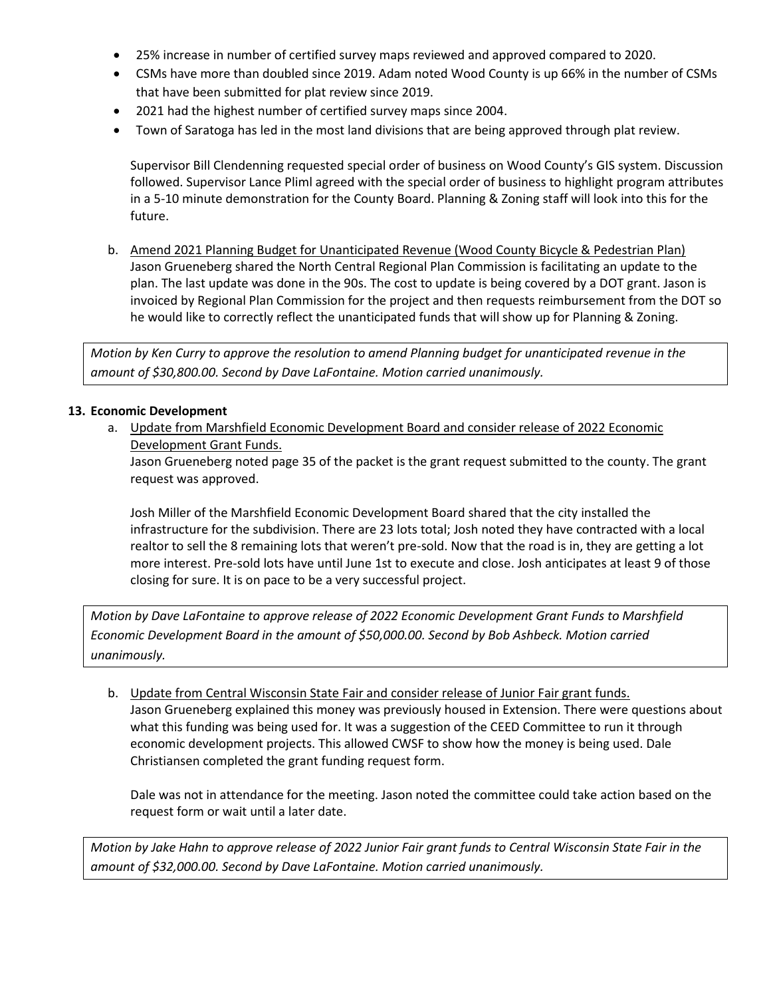- 25% increase in number of certified survey maps reviewed and approved compared to 2020.
- CSMs have more than doubled since 2019. Adam noted Wood County is up 66% in the number of CSMs that have been submitted for plat review since 2019.
- 2021 had the highest number of certified survey maps since 2004.
- Town of Saratoga has led in the most land divisions that are being approved through plat review.

Supervisor Bill Clendenning requested special order of business on Wood County's GIS system. Discussion followed. Supervisor Lance Pliml agreed with the special order of business to highlight program attributes in a 5-10 minute demonstration for the County Board. Planning & Zoning staff will look into this for the future.

b. Amend 2021 Planning Budget for Unanticipated Revenue (Wood County Bicycle & Pedestrian Plan) Jason Grueneberg shared the North Central Regional Plan Commission is facilitating an update to the plan. The last update was done in the 90s. The cost to update is being covered by a DOT grant. Jason is invoiced by Regional Plan Commission for the project and then requests reimbursement from the DOT so he would like to correctly reflect the unanticipated funds that will show up for Planning & Zoning.

*Motion by Ken Curry to approve the resolution to amend Planning budget for unanticipated revenue in the amount of \$30,800.00. Second by Dave LaFontaine. Motion carried unanimously.*

### **13. Economic Development**

a. Update from Marshfield Economic Development Board and consider release of 2022 Economic Development Grant Funds.

Jason Grueneberg noted page 35 of the packet is the grant request submitted to the county. The grant request was approved.

Josh Miller of the Marshfield Economic Development Board shared that the city installed the infrastructure for the subdivision. There are 23 lots total; Josh noted they have contracted with a local realtor to sell the 8 remaining lots that weren't pre-sold. Now that the road is in, they are getting a lot more interest. Pre-sold lots have until June 1st to execute and close. Josh anticipates at least 9 of those closing for sure. It is on pace to be a very successful project.

*Motion by Dave LaFontaine to approve release of 2022 Economic Development Grant Funds to Marshfield Economic Development Board in the amount of \$50,000.00. Second by Bob Ashbeck. Motion carried unanimously.*

b. Update from Central Wisconsin State Fair and consider release of Junior Fair grant funds. Jason Grueneberg explained this money was previously housed in Extension. There were questions about what this funding was being used for. It was a suggestion of the CEED Committee to run it through economic development projects. This allowed CWSF to show how the money is being used. Dale Christiansen completed the grant funding request form.

Dale was not in attendance for the meeting. Jason noted the committee could take action based on the request form or wait until a later date.

*Motion by Jake Hahn to approve release of 2022 Junior Fair grant funds to Central Wisconsin State Fair in the amount of \$32,000.00. Second by Dave LaFontaine. Motion carried unanimously.*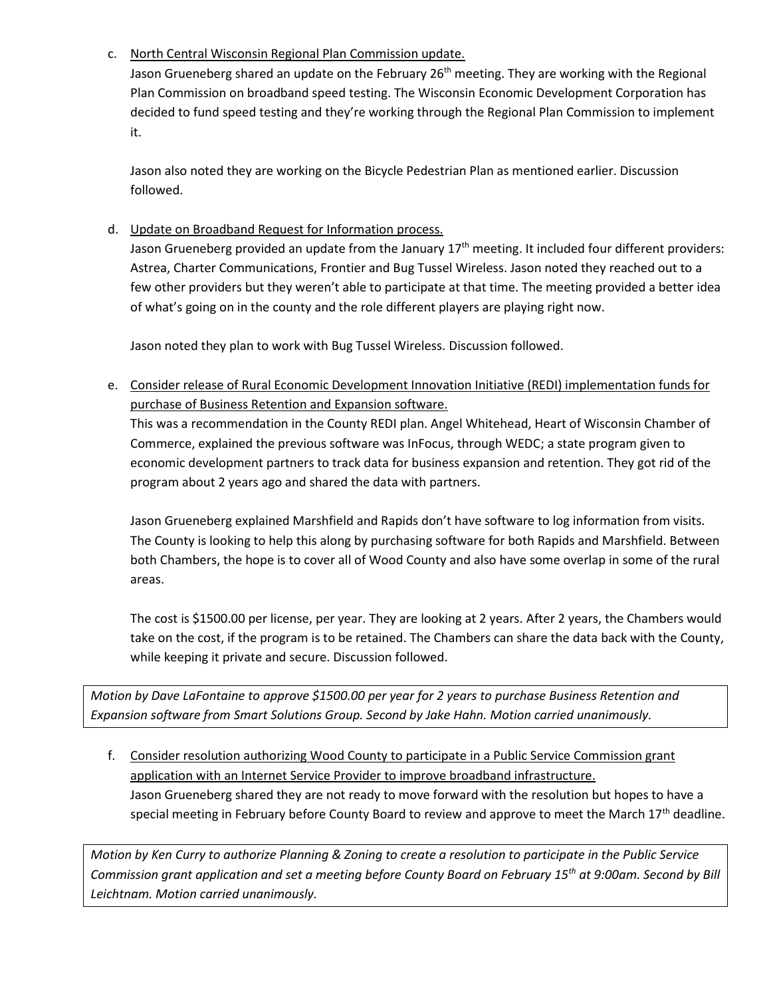c. North Central Wisconsin Regional Plan Commission update.

Jason Grueneberg shared an update on the February 26<sup>th</sup> meeting. They are working with the Regional Plan Commission on broadband speed testing. The Wisconsin Economic Development Corporation has decided to fund speed testing and they're working through the Regional Plan Commission to implement it.

Jason also noted they are working on the Bicycle Pedestrian Plan as mentioned earlier. Discussion followed.

d. Update on Broadband Request for Information process.

Jason Grueneberg provided an update from the January 17<sup>th</sup> meeting. It included four different providers: Astrea, Charter Communications, Frontier and Bug Tussel Wireless. Jason noted they reached out to a few other providers but they weren't able to participate at that time. The meeting provided a better idea of what's going on in the county and the role different players are playing right now.

Jason noted they plan to work with Bug Tussel Wireless. Discussion followed.

e. Consider release of Rural Economic Development Innovation Initiative (REDI) implementation funds for purchase of Business Retention and Expansion software.

This was a recommendation in the County REDI plan. Angel Whitehead, Heart of Wisconsin Chamber of Commerce, explained the previous software was InFocus, through WEDC; a state program given to economic development partners to track data for business expansion and retention. They got rid of the program about 2 years ago and shared the data with partners.

Jason Grueneberg explained Marshfield and Rapids don't have software to log information from visits. The County is looking to help this along by purchasing software for both Rapids and Marshfield. Between both Chambers, the hope is to cover all of Wood County and also have some overlap in some of the rural areas.

The cost is \$1500.00 per license, per year. They are looking at 2 years. After 2 years, the Chambers would take on the cost, if the program is to be retained. The Chambers can share the data back with the County, while keeping it private and secure. Discussion followed.

*Motion by Dave LaFontaine to approve \$1500.00 per year for 2 years to purchase Business Retention and Expansion software from Smart Solutions Group. Second by Jake Hahn. Motion carried unanimously.*

f. Consider resolution authorizing Wood County to participate in a Public Service Commission grant application with an Internet Service Provider to improve broadband infrastructure. Jason Grueneberg shared they are not ready to move forward with the resolution but hopes to have a special meeting in February before County Board to review and approve to meet the March  $17<sup>th</sup>$  deadline.

*Motion by Ken Curry to authorize Planning & Zoning to create a resolution to participate in the Public Service Commission grant application and set a meeting before County Board on February 15th at 9:00am. Second by Bill Leichtnam. Motion carried unanimously.*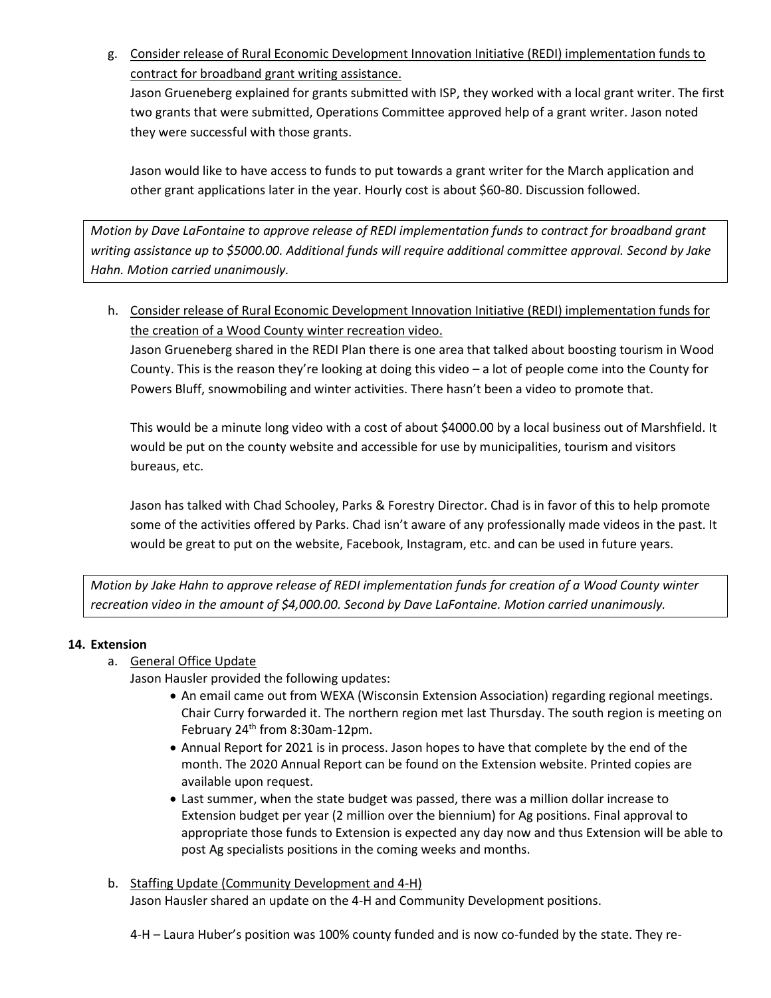g. Consider release of Rural Economic Development Innovation Initiative (REDI) implementation funds to contract for broadband grant writing assistance.

Jason Grueneberg explained for grants submitted with ISP, they worked with a local grant writer. The first two grants that were submitted, Operations Committee approved help of a grant writer. Jason noted they were successful with those grants.

Jason would like to have access to funds to put towards a grant writer for the March application and other grant applications later in the year. Hourly cost is about \$60-80. Discussion followed.

*Motion by Dave LaFontaine to approve release of REDI implementation funds to contract for broadband grant writing assistance up to \$5000.00. Additional funds will require additional committee approval. Second by Jake Hahn. Motion carried unanimously.*

h. Consider release of Rural Economic Development Innovation Initiative (REDI) implementation funds for the creation of a Wood County winter recreation video.

Jason Grueneberg shared in the REDI Plan there is one area that talked about boosting tourism in Wood County. This is the reason they're looking at doing this video – a lot of people come into the County for Powers Bluff, snowmobiling and winter activities. There hasn't been a video to promote that.

This would be a minute long video with a cost of about \$4000.00 by a local business out of Marshfield. It would be put on the county website and accessible for use by municipalities, tourism and visitors bureaus, etc.

Jason has talked with Chad Schooley, Parks & Forestry Director. Chad is in favor of this to help promote some of the activities offered by Parks. Chad isn't aware of any professionally made videos in the past. It would be great to put on the website, Facebook, Instagram, etc. and can be used in future years.

*Motion by Jake Hahn to approve release of REDI implementation funds for creation of a Wood County winter recreation video in the amount of \$4,000.00. Second by Dave LaFontaine. Motion carried unanimously.*

## **14. Extension**

- a. General Office Update
	- Jason Hausler provided the following updates:
		- An email came out from WEXA (Wisconsin Extension Association) regarding regional meetings. Chair Curry forwarded it. The northern region met last Thursday. The south region is meeting on February 24<sup>th</sup> from 8:30am-12pm.
		- Annual Report for 2021 is in process. Jason hopes to have that complete by the end of the month. The 2020 Annual Report can be found on the Extension website. Printed copies are available upon request.
		- Last summer, when the state budget was passed, there was a million dollar increase to Extension budget per year (2 million over the biennium) for Ag positions. Final approval to appropriate those funds to Extension is expected any day now and thus Extension will be able to post Ag specialists positions in the coming weeks and months.
- b. Staffing Update (Community Development and 4-H) Jason Hausler shared an update on the 4-H and Community Development positions.

4-H – Laura Huber's position was 100% county funded and is now co-funded by the state. They re-